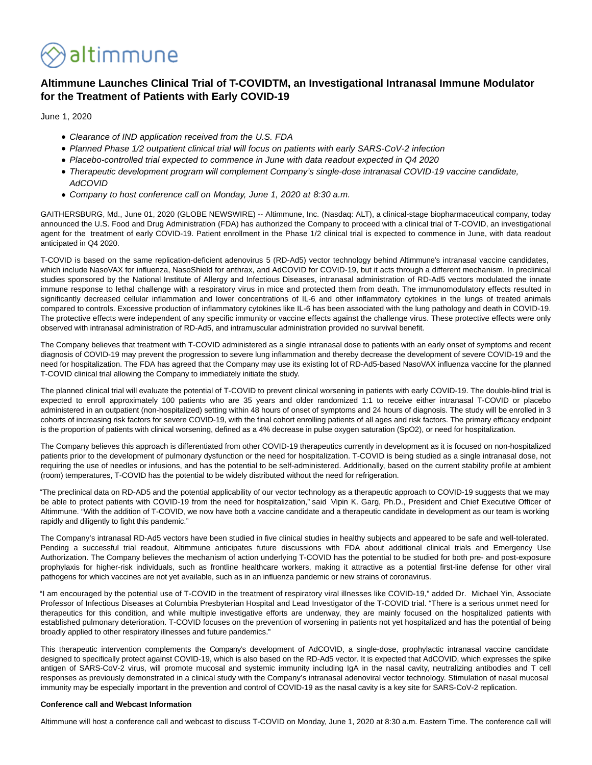

# **Altimmune Launches Clinical Trial of T-COVIDTM, an Investigational Intranasal Immune Modulator for the Treatment of Patients with Early COVID-19**

June 1, 2020

- Clearance of IND application received from the U.S. FDA
- Planned Phase 1/2 outpatient clinical trial will focus on patients with early SARS-CoV-2 infection
- Placebo-controlled trial expected to commence in June with data readout expected in Q4 2020
- Therapeutic development program will complement Company's single-dose intranasal COVID-19 vaccine candidate, **AdCOVID**
- Company to host conference call on Monday, June 1, 2020 at 8:30 a.m.

GAITHERSBURG, Md., June 01, 2020 (GLOBE NEWSWIRE) -- Altimmune, Inc. (Nasdaq: ALT), a clinical-stage biopharmaceutical company, today announced the U.S. Food and Drug Administration (FDA) has authorized the Company to proceed with a clinical trial of T-COVID, an investigational agent for the treatment of early COVID-19. Patient enrollment in the Phase 1/2 clinical trial is expected to commence in June, with data readout anticipated in Q4 2020.

T-COVID is based on the same replication-deficient adenovirus 5 (RD-Ad5) vector technology behind Altimmune's intranasal vaccine candidates, which include NasoVAX for influenza, NasoShield for anthrax, and AdCOVID for COVID-19, but it acts through a different mechanism. In preclinical studies sponsored by the National Institute of Allergy and Infectious Diseases, intranasal administration of RD-Ad5 vectors modulated the innate immune response to lethal challenge with a respiratory virus in mice and protected them from death. The immunomodulatory effects resulted in significantly decreased cellular inflammation and lower concentrations of IL-6 and other inflammatory cytokines in the lungs of treated animals compared to controls. Excessive production of inflammatory cytokines like IL-6 has been associated with the lung pathology and death in COVID-19. The protective effects were independent of any specific immunity or vaccine effects against the challenge virus. These protective effects were only observed with intranasal administration of RD-Ad5, and intramuscular administration provided no survival benefit.

The Company believes that treatment with T-COVID administered as a single intranasal dose to patients with an early onset of symptoms and recent diagnosis of COVID-19 may prevent the progression to severe lung inflammation and thereby decrease the development of severe COVID-19 and the need for hospitalization. The FDA has agreed that the Company may use its existing lot of RD-Ad5-based NasoVAX influenza vaccine for the planned T-COVID clinical trial allowing the Company to immediately initiate the study.

The planned clinical trial will evaluate the potential of T-COVID to prevent clinical worsening in patients with early COVID-19. The double-blind trial is expected to enroll approximately 100 patients who are 35 years and older randomized 1:1 to receive either intranasal T-COVID or placebo administered in an outpatient (non-hospitalized) setting within 48 hours of onset of symptoms and 24 hours of diagnosis. The study will be enrolled in 3 cohorts of increasing risk factors for severe COVID-19, with the final cohort enrolling patients of all ages and risk factors. The primary efficacy endpoint is the proportion of patients with clinical worsening, defined as a 4% decrease in pulse oxygen saturation (SpO2), or need for hospitalization.

The Company believes this approach is differentiated from other COVID-19 therapeutics currently in development as it is focused on non-hospitalized patients prior to the development of pulmonary dysfunction or the need for hospitalization. T-COVID is being studied as a single intranasal dose, not requiring the use of needles or infusions, and has the potential to be self-administered. Additionally, based on the current stability profile at ambient (room) temperatures, T-COVID has the potential to be widely distributed without the need for refrigeration.

"The preclinical data on RD-AD5 and the potential applicability of our vector technology as a therapeutic approach to COVID-19 suggests that we may be able to protect patients with COVID-19 from the need for hospitalization," said Vipin K. Garg, Ph.D., President and Chief Executive Officer of Altimmune. "With the addition of T-COVID, we now have both a vaccine candidate and a therapeutic candidate in development as our team is working rapidly and diligently to fight this pandemic."

The Company's intranasal RD-Ad5 vectors have been studied in five clinical studies in healthy subjects and appeared to be safe and well-tolerated. Pending a successful trial readout, Altimmune anticipates future discussions with FDA about additional clinical trials and Emergency Use Authorization. The Company believes the mechanism of action underlying T-COVID has the potential to be studied for both pre- and post-exposure prophylaxis for higher-risk individuals, such as frontline healthcare workers, making it attractive as a potential first-line defense for other viral pathogens for which vaccines are not yet available, such as in an influenza pandemic or new strains of coronavirus.

"I am encouraged by the potential use of T-COVID in the treatment of respiratory viral illnesses like COVID-19," added Dr. Michael Yin, Associate Professor of Infectious Diseases at Columbia Presbyterian Hospital and Lead Investigator of the T-COVID trial. "There is a serious unmet need for therapeutics for this condition, and while multiple investigative efforts are underway, they are mainly focused on the hospitalized patients with established pulmonary deterioration. T-COVID focuses on the prevention of worsening in patients not yet hospitalized and has the potential of being broadly applied to other respiratory illnesses and future pandemics."

This therapeutic intervention complements the Company's development of AdCOVID, a single-dose, prophylactic intranasal vaccine candidate designed to specifically protect against COVID-19, which is also based on the RD-Ad5 vector. It is expected that AdCOVID, which expresses the spike antigen of SARS-CoV-2 virus, will promote mucosal and systemic immunity including IgA in the nasal cavity, neutralizing antibodies and T cell responses as previously demonstrated in a clinical study with the Company's intranasal adenoviral vector technology. Stimulation of nasal mucosal immunity may be especially important in the prevention and control of COVID-19 as the nasal cavity is a key site for SARS-CoV-2 replication.

## **Conference call and Webcast Information**

Altimmune will host a conference call and webcast to discuss T-COVID on Monday, June 1, 2020 at 8:30 a.m. Eastern Time. The conference call will